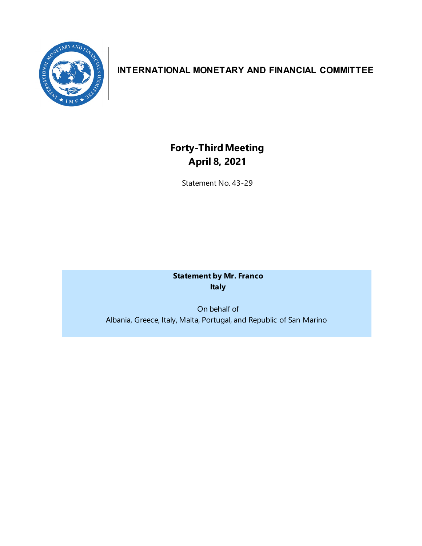

## **INTERNATIONAL MONETARY AND FINANCIAL COMMITTEE**

## **Forty-ThirdMeeting April 8, 2021**

Statement No. 43-29

**Statement by Mr. Franco Italy**

On behalf of Albania, Greece, Italy, Malta, Portugal, and Republic of San Marino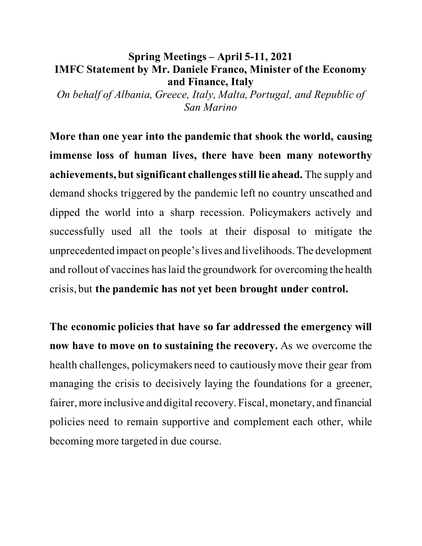## **Spring Meetings – April 5-11, 2021 IMFC Statement by Mr. Daniele Franco, Minister of the Economy and Finance, Italy**

*On behalf of Albania, Greece, Italy, Malta, Portugal, and Republic of San Marino* 

**More than one year into the pandemic that shook the world, causing immense loss of human lives, there have been many noteworthy achievements, but significant challengesstill lie ahead.** The supply and demand shocks triggered by the pandemic left no country unscathed and dipped the world into a sharp recession. Policymakers actively and successfully used all the tools at their disposal to mitigate the unprecedented impact on people's lives and livelihoods.The development and rollout of vaccines has laid the groundwork for overcoming the health crisis, but **the pandemic has not yet been brought under control.** 

**The economic policies that have so far addressed the emergency will now have to move on to sustaining the recovery.** As we overcome the health challenges, policymakers need to cautiously move their gear from managing the crisis to decisively laying the foundations for a greener, fairer, more inclusive and digital recovery. Fiscal, monetary, and financial policies need to remain supportive and complement each other, while becoming more targeted in due course.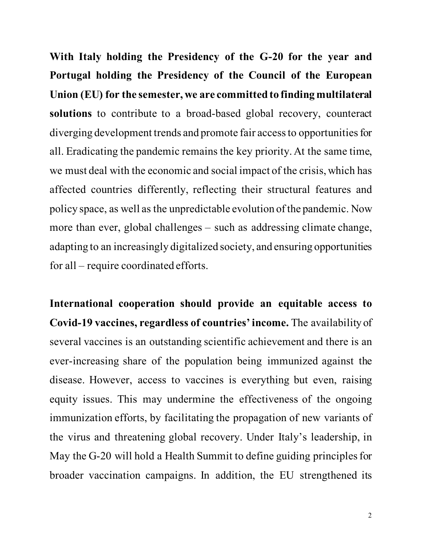**With Italy holding the Presidency of the G-20 for the year and Portugal holding the Presidency of the Council of the European Union (EU) for the semester, we are committed to finding multilateral solutions** to contribute to a broad-based global recovery, counteract diverging development trends and promote fair access to opportunitiesfor all. Eradicating the pandemic remains the key priority. At the same time, we must deal with the economic and social impact of the crisis, which has affected countries differently, reflecting their structural features and policy space, as well as the unpredictable evolution of the pandemic. Now more than ever, global challenges – such as addressing climate change, adapting to an increasingly digitalized society, and ensuring opportunities for all – require coordinated efforts.

**International cooperation should provide an equitable access to Covid-19 vaccines, regardless of countries' income.** The availability of several vaccines is an outstanding scientific achievement and there is an ever-increasing share of the population being immunized against the disease. However, access to vaccines is everything but even, raising equity issues. This may undermine the effectiveness of the ongoing immunization efforts, by facilitating the propagation of new variants of the virus and threatening global recovery. Under Italy's leadership, in May the G-20 will hold a Health Summit to define guiding principles for broader vaccination campaigns. In addition, the EU strengthened its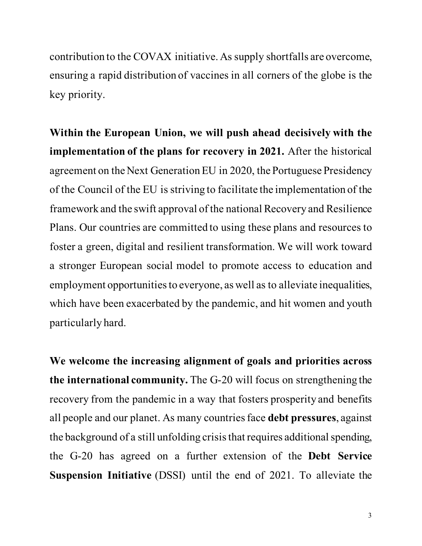contribution to the COVAX initiative. As supply shortfalls are overcome, ensuring a rapid distribution of vaccines in all corners of the globe is the key priority.

**Within the European Union, we will push ahead decisively with the implementation of the plans for recovery in 2021.** After the historical agreement on the Next Generation EU in 2020, the Portuguese Presidency of the Council of the EU is striving to facilitate the implementation of the framework and the swift approval of the national Recovery and Resilience Plans. Our countries are committed to using these plans and resources to foster a green, digital and resilient transformation. We will work toward a stronger European social model to promote access to education and employment opportunities to everyone, as well as to alleviate inequalities, which have been exacerbated by the pandemic, and hit women and youth particularly hard.

**We welcome the increasing alignment of goals and priorities across the international community.** The G-20 will focus on strengthening the recovery from the pandemic in a way that fosters prosperity and benefits all people and our planet. As many countries face **debt pressures**, against the background of a still unfolding crisis that requires additional spending, the G-20 has agreed on a further extension of the **Debt Service Suspension Initiative** (DSSI) until the end of 2021. To alleviate the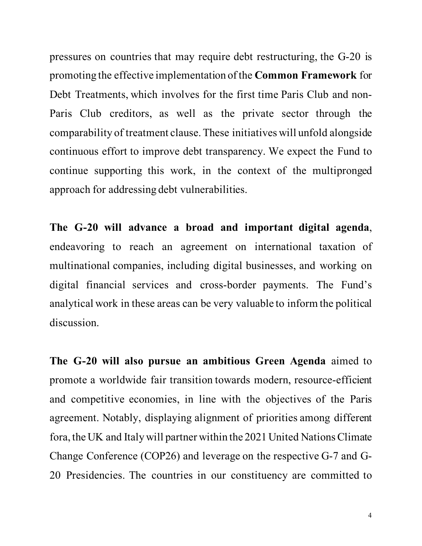pressures on countries that may require debt restructuring, the G-20 is promoting the effective implementation of the **Common Framework** for Debt Treatments, which involves for the first time Paris Club and non-Paris Club creditors, as well as the private sector through the comparability of treatment clause. These initiatives will unfold alongside continuous effort to improve debt transparency. We expect the Fund to continue supporting this work, in the context of the multipronged approach for addressing debt vulnerabilities.

**The G-20 will advance a broad and important digital agenda**, endeavoring to reach an agreement on international taxation of multinational companies, including digital businesses, and working on digital financial services and cross-border payments. The Fund's analytical work in these areas can be very valuable to inform the political discussion.

**The G-20 will also pursue an ambitious Green Agenda** aimed to promote a worldwide fair transition towards modern, resource-efficient and competitive economies, in line with the objectives of the Paris agreement. Notably, displaying alignment of priorities among different fora, the UK and Italy will partner within the 2021 United Nations Climate Change Conference (COP26) and leverage on the respective G-7 and G-20 Presidencies. The countries in our constituency are committed to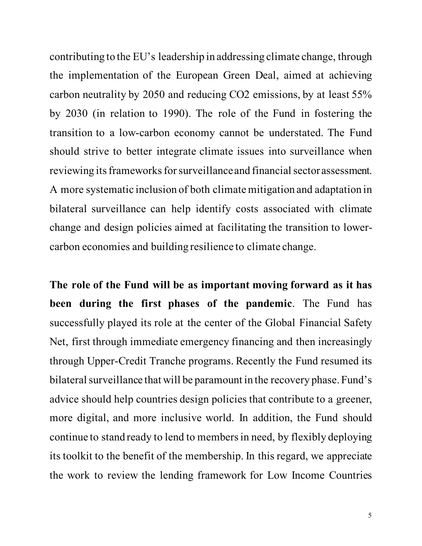contributing to the EU's leadership in addressing climate change, through the implementation of the European Green Deal, aimed at achieving carbon neutrality by 2050 and reducing CO2 emissions, by at least 55% by 2030 (in relation to 1990). The role of the Fund in fostering the transition to a low-carbon economy cannot be understated. The Fund should strive to better integrate climate issues into surveillance when reviewing its frameworks for surveillance and financial sector assessment. A more systematic inclusion of both climate mitigation and adaptation in bilateral surveillance can help identify costs associated with climate change and design policies aimed at facilitating the transition to lowercarbon economies and building resilience to climate change.

**The role of the Fund will be as important moving forward as it has been during the first phases of the pandemic**. The Fund has successfully played its role at the center of the Global Financial Safety Net, first through immediate emergency financing and then increasingly through Upper-Credit Tranche programs. Recently the Fund resumed its bilateral surveillance that will be paramount in the recovery phase. Fund's advice should help countries design policies that contribute to a greener, more digital, and more inclusive world. In addition, the Fund should continue to stand ready to lend to members in need, by flexibly deploying its toolkit to the benefit of the membership. In this regard, we appreciate the work to review the lending framework for Low Income Countries